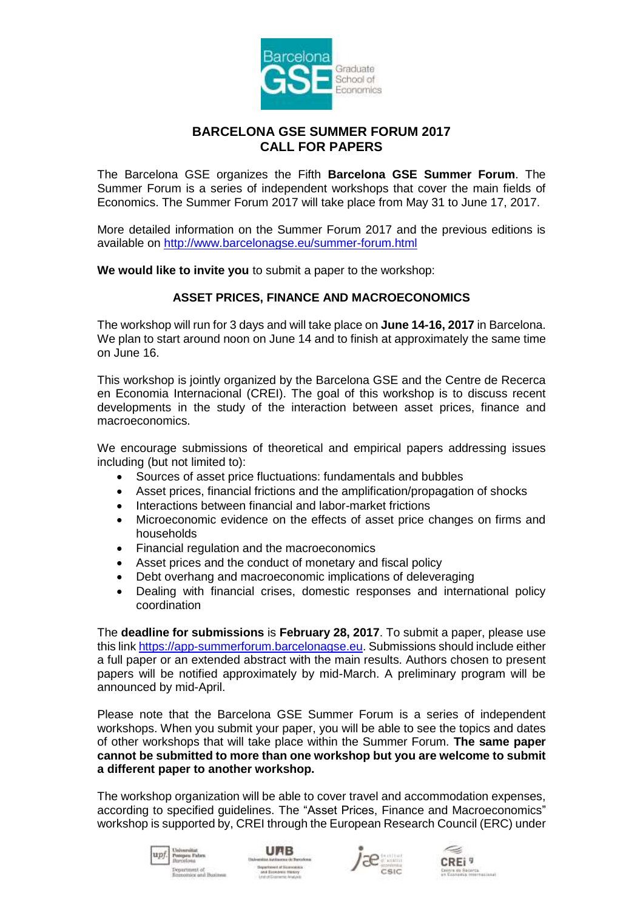

## **BARCELONA GSE SUMMER FORUM 2017 CALL FOR PAPERS**

The Barcelona GSE organizes the Fifth **Barcelona GSE Summer Forum**. The Summer Forum is a series of independent workshops that cover the main fields of Economics. The Summer Forum 2017 will take place from May 31 to June 17, 2017.

More detailed information on the Summer Forum 2017 and the previous editions is available on<http://www.barcelonagse.eu/summer-forum.html>

**We would like to invite you** to submit a paper to the workshop:

## **ASSET PRICES, FINANCE AND MACROECONOMICS**

The workshop will run for 3 days and will take place on **June 14-16, 2017** in Barcelona. We plan to start around noon on June 14 and to finish at approximately the same time on June 16.

This workshop is jointly organized by the Barcelona GSE and the Centre de Recerca en Economia Internacional (CREI). The goal of this workshop is to discuss recent developments in the study of the interaction between asset prices, finance and macroeconomics.

We encourage submissions of theoretical and empirical papers addressing issues including (but not limited to):

- Sources of asset price fluctuations: fundamentals and bubbles
- Asset prices, financial frictions and the amplification/propagation of shocks
- Interactions between financial and labor-market frictions
- Microeconomic evidence on the effects of asset price changes on firms and households
- Financial regulation and the macroeconomics
- Asset prices and the conduct of monetary and fiscal policy
- Debt overhang and macroeconomic implications of deleveraging
- Dealing with financial crises, domestic responses and international policy coordination

The **deadline for submissions** is **February 28, 2017**. To submit a paper, please use this lin[k https://app-summerforum.barcelonagse.eu.](https://app-summerforum.barcelonagse.eu/) Submissions should include either a full paper or an extended abstract with the main results. Authors chosen to present papers will be notified approximately by mid-March. A preliminary program will be announced by mid-April.

Please note that the Barcelona GSE Summer Forum is a series of independent workshops. When you submit your paper, you will be able to see the topics and dates of other workshops that will take place within the Summer Forum. **The same paper cannot be submitted to more than one workshop but you are welcome to submit a different paper to another workshop.**

The workshop organization will be able to cover travel and accommodation expenses, according to specified guidelines. The "Asset Prices, Finance and Macroeconomics" workshop is supported by, CREI through the European Research Council (ERC) under